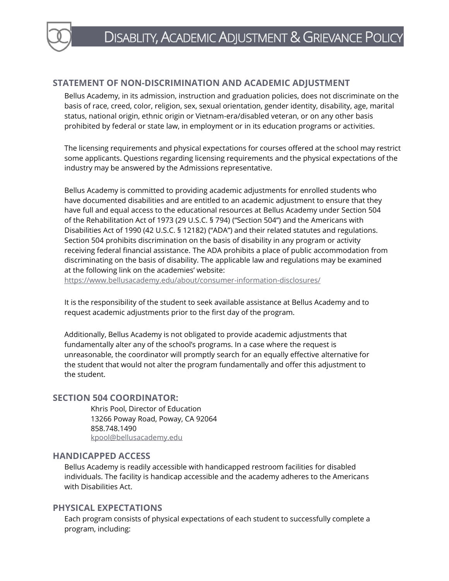## **STATEMENT OF NON-DISCRIMINATION AND ACADEMIC ADJUSTMENT**

Bellus Academy, in its admission, instruction and graduation policies, does not discriminate on the basis of race, creed, color, religion, sex, sexual orientation, gender identity, disability, age, marital status, national origin, ethnic origin or Vietnam-era/disabled veteran, or on any other basis prohibited by federal or state law, in employment or in its education programs or activities.

The licensing requirements and physical expectations for courses offered at the school may restrict some applicants. Questions regarding licensing requirements and the physical expectations of the industry may be answered by the Admissions representative.

Bellus Academy is committed to providing academic adjustments for enrolled students who have documented disabilities and are entitled to an academic adjustment to ensure that they have full and equal access to the educational resources at Bellus Academy under Section 504 of the Rehabilitation Act of 1973 (29 U.S.C. § 794) ("Section 504") and the Americans with Disabilities Act of 1990 (42 U.S.C. § 12182) ("ADA") and their related statutes and regulations. Section 504 prohibits discrimination on the basis of disability in any program or activity receiving federal financial assistance. The ADA prohibits a place of public accommodation from discriminating on the basis of disability. The applicable law and regulations may be examined at the following link on the academies' website:

<https://www.bellusacademy.edu/about/consumer-information-disclosures/>

It is the responsibility of the student to seek available assistance at Bellus Academy and to request academic adjustments prior to the first day of the program.

Additionally, Bellus Academy is not obligated to provide academic adjustments that fundamentally alter any of the school's programs. In a case where the request is unreasonable, the coordinator will promptly search for an equally effective alternative for the student that would not alter the program fundamentally and offer this adjustment to the student.

## **SECTION 504 COORDINATOR:**

Khris Pool, Director of Education 13266 Poway Road, Poway, CA 92064 858.748.1490 [kpool@bellusacademy.edu](mailto:kpool@bellusacademy.edu)

#### **HANDICAPPED ACCESS**

Bellus Academy is readily accessible with handicapped restroom facilities for disabled individuals. The facility is handicap accessible and the academy adheres to the Americans with Disabilities Act.

#### **PHYSICAL EXPECTATIONS**

Each program consists of physical expectations of each student to successfully complete a program, including: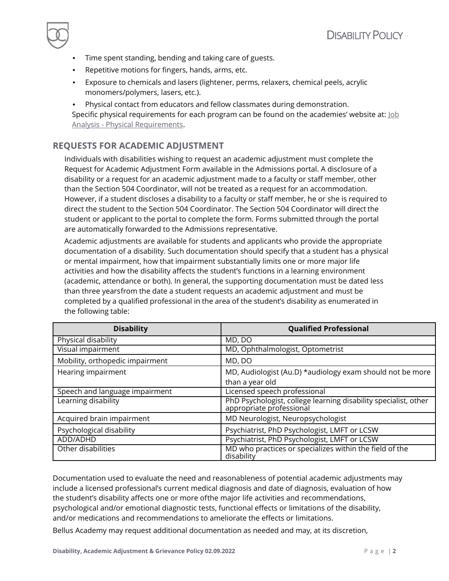- Time spent standing, bending and taking care of guests.
- Repetitive motions for fingers, hands, arms, etc.
- Exposure to chemicals and lasers (lightener, perms, relaxers, chemical peels, acrylic monomers/polymers, lasers, etc.).
- Physical contact from educators and fellow classmates during demonstration. Specific physical requirements for each program can be found on the academies' website at: lob Analysis - [Physical Requirements.](http://www.bellusacademy.edu/student_information)

## **REQUESTS FOR ACADEMIC ADJUSTMENT**

Individuals with disabilities wishing to request an academic adjustment must complete the Request for Academic Adjustment Form available in the Admissions portal. A disclosure of a disability or a request for an academic adjustment made to a faculty or staff member, other than the Section 504 Coordinator, will not be treated as a request for an accommodation. However, if a student discloses a disability to a faculty or staff member, he or she is required to direct the student to the Section 504 Coordinator. The Section 504 Coordinator will direct the student or applicant to the portal to complete the form. Forms submitted through the portal are automatically forwarded to the Admissions representative.

Academic adjustments are available for students and applicants who provide the appropriate documentation of a disability. Such documentation should specify that a student has a physical or mental impairment, how that impairment substantially limits one or more major life activities and how the disability affects the student's functions in a learning environment (academic, attendance or both). In general, the supporting documentation must be dated less than three yearsfrom the date a student requests an academic adjustment and must be completed by a qualified professional in the area of the student's disability as enumerated in the following table:

| <b>Disability</b>               | <b>Qualified Professional</b>                                                               |
|---------------------------------|---------------------------------------------------------------------------------------------|
| Physical disability             | MD, DO                                                                                      |
| Visual impairment               | MD, Ophthalmologist, Optometrist                                                            |
| Mobility, orthopedic impairment | MD, DO                                                                                      |
| Hearing impairment              | MD, Audiologist (Au.D) *audiology exam should not be more                                   |
|                                 | than a year old                                                                             |
| Speech and language impairment  | Licensed speech professional                                                                |
| Learning disability             | PhD Psychologist, college learning disability specialist, other<br>appropriate professional |
| Acquired brain impairment       | MD Neurologist, Neuropsychologist                                                           |
| Psychological disability        | Psychiatrist, PhD Psychologist, LMFT or LCSW                                                |
| ADD/ADHD                        | Psychiatrist, PhD Psychologist, LMFT or LCSW                                                |
| Other disabilities              | MD who practices or specializes within the field of the<br>disability                       |

Documentation used to evaluate the need and reasonableness of potential academic adjustments may include a licensed professional's current medical diagnosis and date of diagnosis, evaluation of how the student's disability affects one or more ofthe major life activities and recommendations, psychological and/or emotional diagnostic tests, functional effects or limitations of the disability, and/or medications and recommendations to ameliorate the effects or limitations.

Bellus Academy may request additional documentation as needed and may, at its discretion,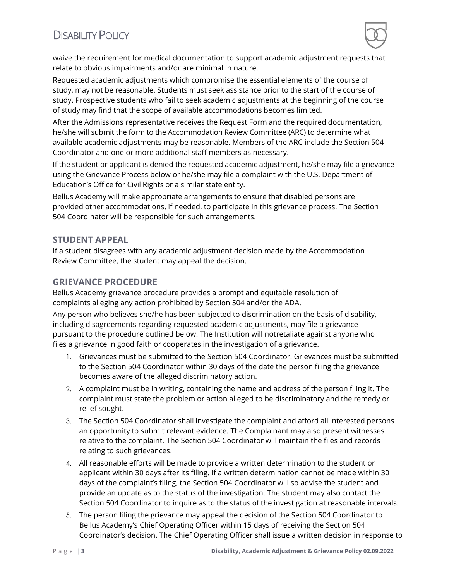# DISABILITY POLICY



waive the requirement for medical documentation to support academic adjustment requests that relate to obvious impairments and/or are minimal in nature.

Requested academic adjustments which compromise the essential elements of the course of study, may not be reasonable. Students must seek assistance prior to the start of the course of study. Prospective students who fail to seek academic adjustments at the beginning of the course of study may find that the scope of available accommodations becomes limited.

After the Admissions representative receives the Request Form and the required documentation, he/she will submit the form to the Accommodation Review Committee (ARC) to determine what available academic adjustments may be reasonable. Members of the ARC include the Section 504 Coordinator and one or more additional staff members as necessary.

If the student or applicant is denied the requested academic adjustment, he/she may file a grievance using the Grievance Process below or he/she may file a complaint with the U.S. Department of Education's Office for Civil Rights or a similar state entity.

Bellus Academy will make appropriate arrangements to ensure that disabled persons are provided other accommodations, if needed, to participate in this grievance process. The Section 504 Coordinator will be responsible for such arrangements.

#### **STUDENT APPEAL**

If a student disagrees with any academic adjustment decision made by the Accommodation Review Committee, the student may appeal the decision.

#### **GRIEVANCE PROCEDURE**

Bellus Academy grievance procedure provides a prompt and equitable resolution of complaints alleging any action prohibited by Section 504 and/or the ADA.

Any person who believes she/he has been subjected to discrimination on the basis of disability, including disagreements regarding requested academic adjustments, may file a grievance pursuant to the procedure outlined below. The Institution will notretaliate against anyone who files a grievance in good faith or cooperates in the investigation of a grievance.

- 1. Grievances must be submitted to the Section 504 Coordinator. Grievances must be submitted to the Section 504 Coordinator within 30 days of the date the person filing the grievance becomes aware of the alleged discriminatory action.
- 2. A complaint must be in writing, containing the name and address of the person filing it. The complaint must state the problem or action alleged to be discriminatory and the remedy or relief sought.
- 3. The Section 504 Coordinator shall investigate the complaint and afford all interested persons an opportunity to submit relevant evidence. The Complainant may also present witnesses relative to the complaint. The Section 504 Coordinator will maintain the files and records relating to such grievances.
- 4. All reasonable efforts will be made to provide a written determination to the student or applicant within 30 days after its filing. If a written determination cannot be made within 30 days of the complaint's filing, the Section 504 Coordinator will so advise the student and provide an update as to the status of the investigation. The student may also contact the Section 504 Coordinator to inquire as to the status of the investigation at reasonable intervals.
- 5. The person filing the grievance may appeal the decision of the Section 504 Coordinator to Bellus Academy's Chief Operating Officer within 15 days of receiving the Section 504 Coordinator's decision. The Chief Operating Officer shall issue a written decision in response to